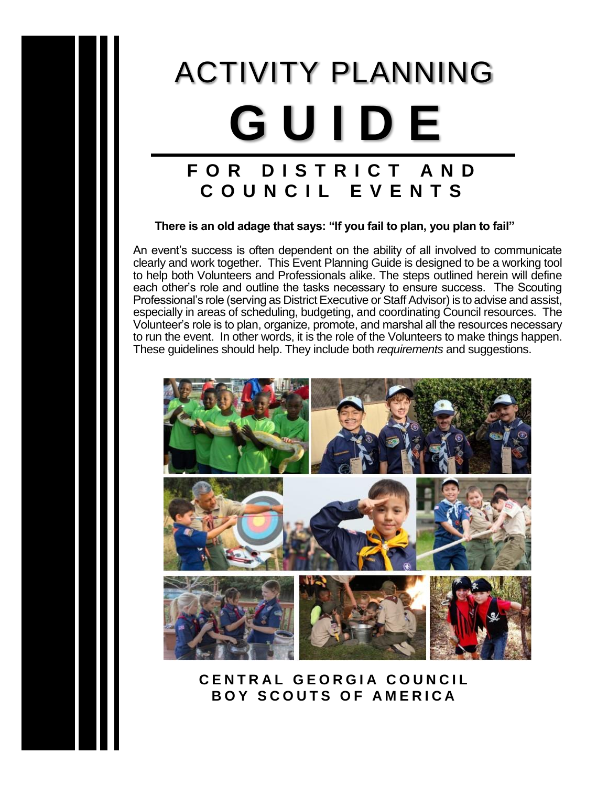# ACTIVITY PLANNING **G U I D E F O R D I S T R I C T A N D**

### **There is an old adage that says: "If you fail to plan, you plan to fail"**

**C O U N C I L E V E N T S**

An event's success is often dependent on the ability of all involved to communicate clearly and work together. This Event Planning Guide is designed to be a working tool to help both Volunteers and Professionals alike. The steps outlined herein will define each other's role and outline the tasks necessary to ensure success. The Scouting Professional's role (serving as District Executive or Staff Advisor) is to advise and assist, especially in areas of scheduling, budgeting, and coordinating Council resources. The Volunteer's role is to plan, organize, promote, and marshal all the resources necessary to run the event. In other words, it is the role of the Volunteers to make things happen. These guidelines should help. They include both *requirements* and suggestions.



**C E N T R A L G E O R G I A C O U N C I L BOY SCOUTS OF AMERICA**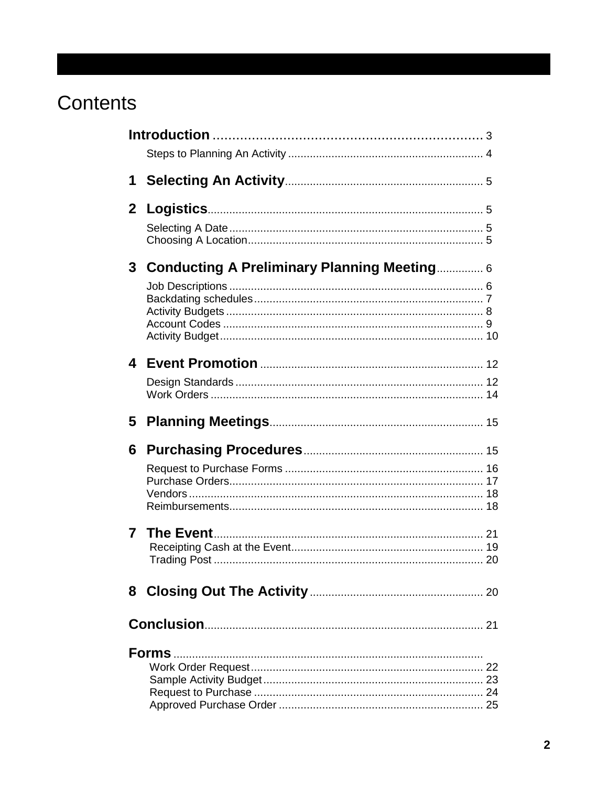# Contents

| 1            |                                                    |    |
|--------------|----------------------------------------------------|----|
| $\mathbf{2}$ |                                                    |    |
|              |                                                    |    |
| 3            | <b>Conducting A Preliminary Planning Meeting 6</b> |    |
|              |                                                    |    |
|              |                                                    |    |
|              |                                                    |    |
| 5            |                                                    |    |
| 6            |                                                    |    |
|              |                                                    |    |
| 7            |                                                    |    |
|              |                                                    |    |
| 8            |                                                    | 20 |
|              |                                                    |    |
|              |                                                    | 25 |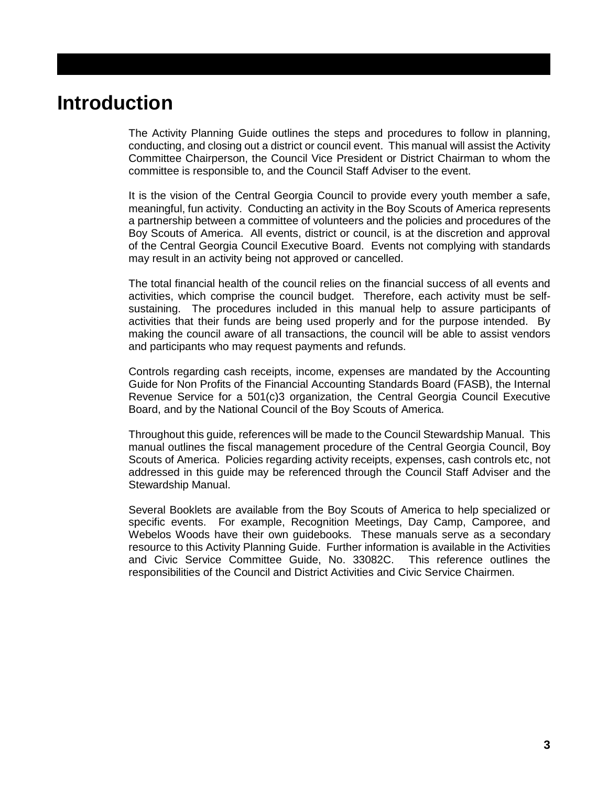## **Introduction**

The Activity Planning Guide outlines the steps and procedures to follow in planning, conducting, and closing out a district or council event. This manual will assist the Activity Committee Chairperson, the Council Vice President or District Chairman to whom the committee is responsible to, and the Council Staff Adviser to the event.

It is the vision of the Central Georgia Council to provide every youth member a safe, meaningful, fun activity. Conducting an activity in the Boy Scouts of America represents a partnership between a committee of volunteers and the policies and procedures of the Boy Scouts of America. All events, district or council, is at the discretion and approval of the Central Georgia Council Executive Board. Events not complying with standards may result in an activity being not approved or cancelled.

The total financial health of the council relies on the financial success of all events and activities, which comprise the council budget. Therefore, each activity must be selfsustaining. The procedures included in this manual help to assure participants of activities that their funds are being used properly and for the purpose intended. By making the council aware of all transactions, the council will be able to assist vendors and participants who may request payments and refunds.

Controls regarding cash receipts, income, expenses are mandated by the Accounting Guide for Non Profits of the Financial Accounting Standards Board (FASB), the Internal Revenue Service for a 501(c)3 organization, the Central Georgia Council Executive Board, and by the National Council of the Boy Scouts of America.

Throughout this guide, references will be made to the Council Stewardship Manual. This manual outlines the fiscal management procedure of the Central Georgia Council, Boy Scouts of America. Policies regarding activity receipts, expenses, cash controls etc, not addressed in this guide may be referenced through the Council Staff Adviser and the Stewardship Manual.

Several Booklets are available from the Boy Scouts of America to help specialized or specific events. For example, Recognition Meetings, Day Camp, Camporee, and Webelos Woods have their own guidebooks. These manuals serve as a secondary resource to this Activity Planning Guide. Further information is available in the Activities and Civic Service Committee Guide, No. 33082C. This reference outlines the responsibilities of the Council and District Activities and Civic Service Chairmen.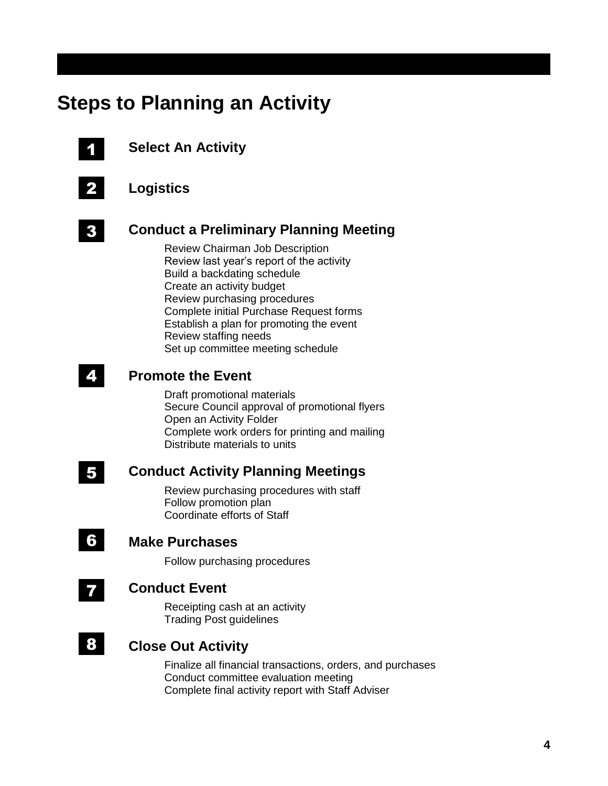## **Steps to Planning an Activity**



## **Select An Activity**



## **Logistics**



## **Conduct a Preliminary Planning Meeting**

Review Chairman Job Description Review last year's report of the activity Build a backdating schedule Create an activity budget Review purchasing procedures Complete initial Purchase Request forms Establish a plan for promoting the event Review staffing needs Set up committee meeting schedule

#### **Promote the Event** 4

Draft promotional materials Secure Council approval of promotional flyers Open an Activity Folder Complete work orders for printing and mailing Distribute materials to units

## 5

7

6

## **Conduct Activity Planning Meetings**

Review purchasing procedures with staff Follow promotion plan Coordinate efforts of Staff

## **Make Purchases**

Follow purchasing procedures

## **Conduct Event**

Receipting cash at an activity Trading Post guidelines

#### **Close Out Activity** 8

Finalize all financial transactions, orders, and purchases Conduct committee evaluation meeting Complete final activity report with Staff Adviser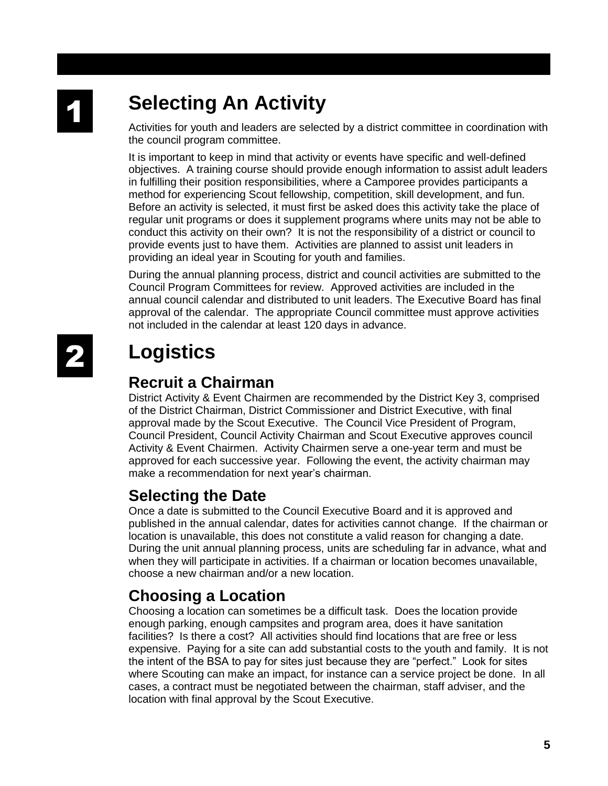# **Selecting An Activity**

Activities for youth and leaders are selected by a district committee in coordination with the council program committee.

It is important to keep in mind that activity or events have specific and well-defined objectives. A training course should provide enough information to assist adult leaders in fulfilling their position responsibilities, where a Camporee provides participants a method for experiencing Scout fellowship, competition, skill development, and fun. Before an activity is selected, it must first be asked does this activity take the place of regular unit programs or does it supplement programs where units may not be able to conduct this activity on their own? It is not the responsibility of a district or council to provide events just to have them. Activities are planned to assist unit leaders in providing an ideal year in Scouting for youth and families.

During the annual planning process, district and council activities are submitted to the Council Program Committees for review. Approved activities are included in the annual council calendar and distributed to unit leaders. The Executive Board has final approval of the calendar. The appropriate Council committee must approve activities not included in the calendar at least 120 days in advance.

# **Logistics**

## **Recruit a Chairman**

District Activity & Event Chairmen are recommended by the District Key 3, comprised of the District Chairman, District Commissioner and District Executive, with final approval made by the Scout Executive. The Council Vice President of Program, Council President, Council Activity Chairman and Scout Executive approves council Activity & Event Chairmen. Activity Chairmen serve a one-year term and must be approved for each successive year. Following the event, the activity chairman may make a recommendation for next year's chairman.

## **Selecting the Date**

Once a date is submitted to the Council Executive Board and it is approved and published in the annual calendar, dates for activities cannot change. If the chairman or location is unavailable, this does not constitute a valid reason for changing a date. During the unit annual planning process, units are scheduling far in advance, what and when they will participate in activities. If a chairman or location becomes unavailable, choose a new chairman and/or a new location.

## **Choosing a Location**

Choosing a location can sometimes be a difficult task. Does the location provide enough parking, enough campsites and program area, does it have sanitation facilities? Is there a cost? All activities should find locations that are free or less expensive. Paying for a site can add substantial costs to the youth and family. It is not the intent of the BSA to pay for sites just because they are "perfect." Look for sites where Scouting can make an impact, for instance can a service project be done. In all cases, a contract must be negotiated between the chairman, staff adviser, and the location with final approval by the Scout Executive.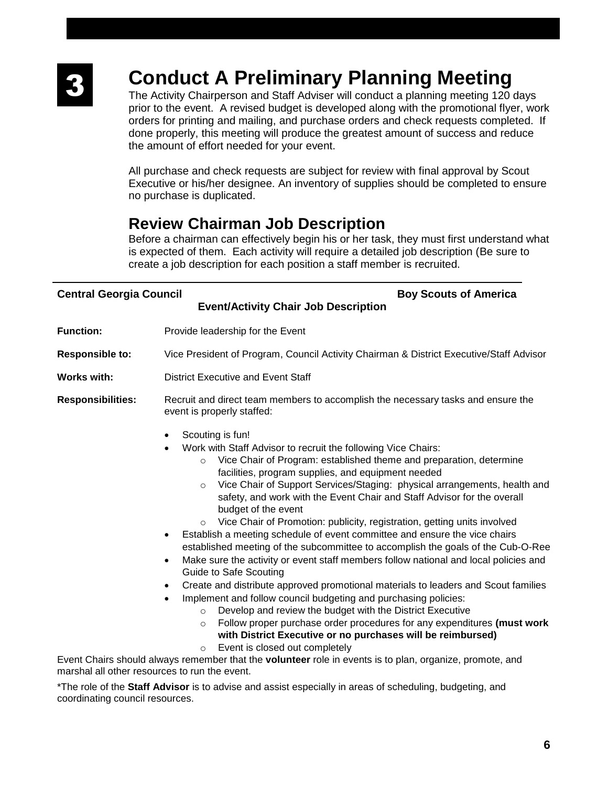# **Conduct A Preliminary Planning Meeting**

The Activity Chairperson and Staff Adviser will conduct a planning meeting 120 days prior to the event. A revised budget is developed along with the promotional flyer, work orders for printing and mailing, and purchase orders and check requests completed. If done properly, this meeting will produce the greatest amount of success and reduce the amount of effort needed for your event.

All purchase and check requests are subject for review with final approval by Scout Executive or his/her designee. An inventory of supplies should be completed to ensure no purchase is duplicated.

## **Review Chairman Job Description**

Before a chairman can effectively begin his or her task, they must first understand what is expected of them. Each activity will require a detailed job description (Be sure to create a job description for each position a staff member is recruited.

| <b>Central Georgia Council</b>                | <b>Boy Scouts of America</b><br><b>Event/Activity Chair Job Description</b>                                                                                                                                                                                                                                                                                                                                                                                                                                                                                                                                                                                                                                                                                                                                                                                                                                                                                                                                                                                                                                                                                                                                                                                                                                                                                                                                   |  |  |
|-----------------------------------------------|---------------------------------------------------------------------------------------------------------------------------------------------------------------------------------------------------------------------------------------------------------------------------------------------------------------------------------------------------------------------------------------------------------------------------------------------------------------------------------------------------------------------------------------------------------------------------------------------------------------------------------------------------------------------------------------------------------------------------------------------------------------------------------------------------------------------------------------------------------------------------------------------------------------------------------------------------------------------------------------------------------------------------------------------------------------------------------------------------------------------------------------------------------------------------------------------------------------------------------------------------------------------------------------------------------------------------------------------------------------------------------------------------------------|--|--|
| <b>Function:</b>                              | Provide leadership for the Event                                                                                                                                                                                                                                                                                                                                                                                                                                                                                                                                                                                                                                                                                                                                                                                                                                                                                                                                                                                                                                                                                                                                                                                                                                                                                                                                                                              |  |  |
| <b>Responsible to:</b>                        | Vice President of Program, Council Activity Chairman & District Executive/Staff Advisor                                                                                                                                                                                                                                                                                                                                                                                                                                                                                                                                                                                                                                                                                                                                                                                                                                                                                                                                                                                                                                                                                                                                                                                                                                                                                                                       |  |  |
| <b>Works with:</b>                            | <b>District Executive and Event Staff</b>                                                                                                                                                                                                                                                                                                                                                                                                                                                                                                                                                                                                                                                                                                                                                                                                                                                                                                                                                                                                                                                                                                                                                                                                                                                                                                                                                                     |  |  |
| <b>Responsibilities:</b>                      | Recruit and direct team members to accomplish the necessary tasks and ensure the<br>event is properly staffed:                                                                                                                                                                                                                                                                                                                                                                                                                                                                                                                                                                                                                                                                                                                                                                                                                                                                                                                                                                                                                                                                                                                                                                                                                                                                                                |  |  |
|                                               | Scouting is fun!<br>$\bullet$<br>Work with Staff Advisor to recruit the following Vice Chairs:<br>Vice Chair of Program: established theme and preparation, determine<br>$\circ$<br>facilities, program supplies, and equipment needed<br>Vice Chair of Support Services/Staging: physical arrangements, health and<br>$\circ$<br>safety, and work with the Event Chair and Staff Advisor for the overall<br>budget of the event<br>Vice Chair of Promotion: publicity, registration, getting units involved<br>$\circ$<br>Establish a meeting schedule of event committee and ensure the vice chairs<br>$\bullet$<br>established meeting of the subcommittee to accomplish the goals of the Cub-O-Ree<br>Make sure the activity or event staff members follow national and local policies and<br>$\bullet$<br>Guide to Safe Scouting<br>Create and distribute approved promotional materials to leaders and Scout families<br>٠<br>Implement and follow council budgeting and purchasing policies:<br>$\bullet$<br>Develop and review the budget with the District Executive<br>$\circ$<br>Follow proper purchase order procedures for any expenditures (must work<br>$\circ$<br>with District Executive or no purchases will be reimbursed)<br>Event is closed out completely<br>$\circ$<br>Event Chairs should always remember that the <b>volunteer</b> role in events is to plan, organize, promote, and |  |  |
| marshal all other resources to run the event. |                                                                                                                                                                                                                                                                                                                                                                                                                                                                                                                                                                                                                                                                                                                                                                                                                                                                                                                                                                                                                                                                                                                                                                                                                                                                                                                                                                                                               |  |  |

\*The role of the **Staff Advisor** is to advise and assist especially in areas of scheduling, budgeting, and coordinating council resources.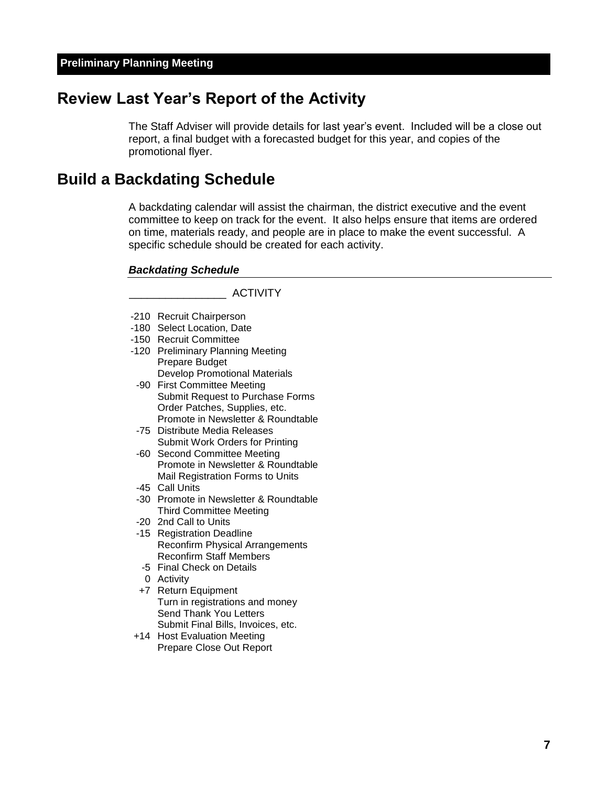## **Review Last Year's Report of the Activity**

The Staff Adviser will provide details for last year's event. Included will be a close out report, a final budget with a forecasted budget for this year, and copies of the promotional flyer.

## **Build a Backdating Schedule**

A backdating calendar will assist the chairman, the district executive and the event committee to keep on track for the event. It also helps ensure that items are ordered on time, materials ready, and people are in place to make the event successful. A specific schedule should be created for each activity.

#### *Backdating Schedule*

\_\_\_\_\_\_\_\_\_\_\_\_\_\_\_\_ ACTIVITY

- -210 Recruit Chairperson
- -180 Select Location, Date
- -150 Recruit Committee
- -120 Preliminary Planning Meeting Prepare Budget Develop Promotional Materials
- -90 First Committee Meeting Submit Request to Purchase Forms Order Patches, Supplies, etc. Promote in Newsletter & Roundtable
- -75 Distribute Media Releases Submit Work Orders for Printing
- -60 Second Committee Meeting Promote in Newsletter & Roundtable Mail Registration Forms to Units
- -45 Call Units
- -30 Promote in Newsletter & Roundtable Third Committee Meeting
- -20 2nd Call to Units
- -15 Registration Deadline Reconfirm Physical Arrangements Reconfirm Staff Members
- -5 Final Check on Details
- 0 Activity
- +7 Return Equipment Turn in registrations and money Send Thank You Letters Submit Final Bills, Invoices, etc.
- +14 Host Evaluation Meeting Prepare Close Out Report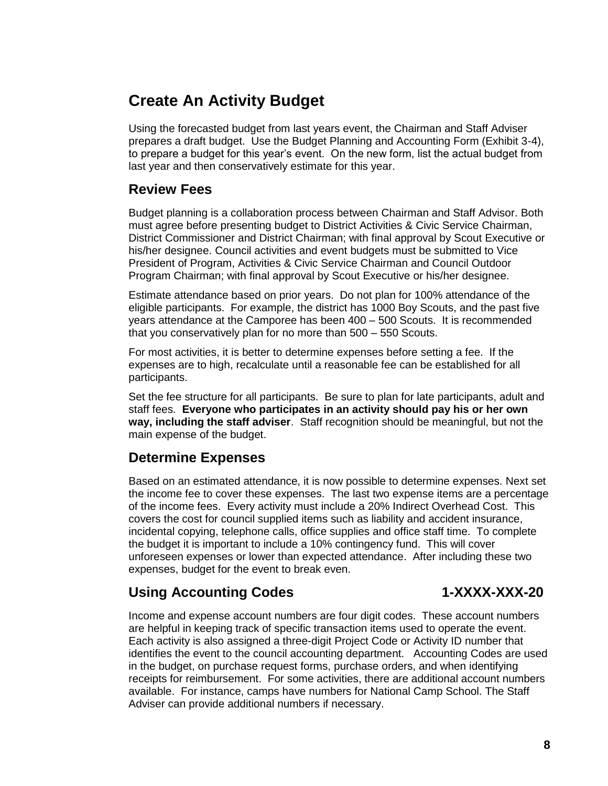## **Create An Activity Budget**

Using the forecasted budget from last years event, the Chairman and Staff Adviser prepares a draft budget. Use the Budget Planning and Accounting Form (Exhibit 3-4), to prepare a budget for this year's event. On the new form, list the actual budget from last year and then conservatively estimate for this year.

## **Review Fees**

Budget planning is a collaboration process between Chairman and Staff Advisor. Both must agree before presenting budget to District Activities & Civic Service Chairman, District Commissioner and District Chairman; with final approval by Scout Executive or his/her designee. Council activities and event budgets must be submitted to Vice President of Program, Activities & Civic Service Chairman and Council Outdoor Program Chairman; with final approval by Scout Executive or his/her designee.

Estimate attendance based on prior years. Do not plan for 100% attendance of the eligible participants. For example, the district has 1000 Boy Scouts, and the past five years attendance at the Camporee has been 400 – 500 Scouts. It is recommended that you conservatively plan for no more than 500 – 550 Scouts.

For most activities, it is better to determine expenses before setting a fee. If the expenses are to high, recalculate until a reasonable fee can be established for all participants.

Set the fee structure for all participants. Be sure to plan for late participants, adult and staff fees. **Everyone who participates in an activity should pay his or her own way, including the staff adviser**. Staff recognition should be meaningful, but not the main expense of the budget.

## **Determine Expenses**

Based on an estimated attendance, it is now possible to determine expenses. Next set the income fee to cover these expenses. The last two expense items are a percentage of the income fees. Every activity must include a 20% Indirect Overhead Cost. This covers the cost for council supplied items such as liability and accident insurance, incidental copying, telephone calls, office supplies and office staff time. To complete the budget it is important to include a 10% contingency fund. This will cover unforeseen expenses or lower than expected attendance. After including these two expenses, budget for the event to break even.

## Using Accounting Codes 1-XXXX-XXX-20

Income and expense account numbers are four digit codes. These account numbers are helpful in keeping track of specific transaction items used to operate the event. Each activity is also assigned a three-digit Project Code or Activity ID number that identifies the event to the council accounting department. Accounting Codes are used in the budget, on purchase request forms, purchase orders, and when identifying receipts for reimbursement. For some activities, there are additional account numbers available. For instance, camps have numbers for National Camp School. The Staff Adviser can provide additional numbers if necessary.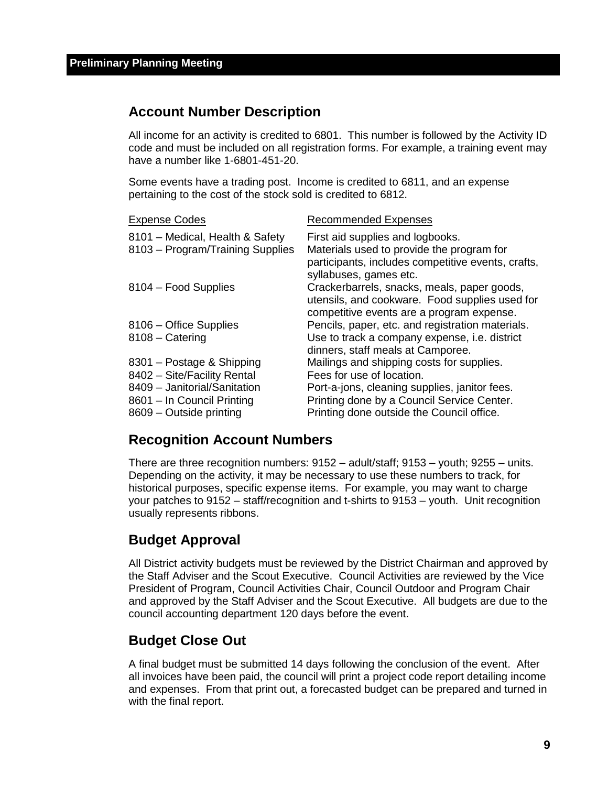## **Account Number Description**

All income for an activity is credited to 6801. This number is followed by the Activity ID code and must be included on all registration forms. For example, a training event may have a number like 1-6801-451-20.

Some events have a trading post. Income is credited to 6811, and an expense pertaining to the cost of the stock sold is credited to 6812.

| <b>Recommended Expenses</b>                                                                                                                                          |
|----------------------------------------------------------------------------------------------------------------------------------------------------------------------|
| First aid supplies and logbooks.<br>Materials used to provide the program for<br>participants, includes competitive events, crafts,                                  |
| syllabuses, games etc.<br>Crackerbarrels, snacks, meals, paper goods,<br>utensils, and cookware. Food supplies used for<br>competitive events are a program expense. |
| Pencils, paper, etc. and registration materials.                                                                                                                     |
| Use to track a company expense, i.e. district<br>dinners, staff meals at Camporee.                                                                                   |
| Mailings and shipping costs for supplies.                                                                                                                            |
| Fees for use of location.                                                                                                                                            |
| Port-a-jons, cleaning supplies, janitor fees.                                                                                                                        |
| Printing done by a Council Service Center.                                                                                                                           |
| Printing done outside the Council office.                                                                                                                            |
|                                                                                                                                                                      |

## **Recognition Account Numbers**

There are three recognition numbers: 9152 – adult/staff; 9153 – youth; 9255 – units. Depending on the activity, it may be necessary to use these numbers to track, for historical purposes, specific expense items. For example, you may want to charge your patches to 9152 – staff/recognition and t-shirts to 9153 – youth. Unit recognition usually represents ribbons.

## **Budget Approval**

All District activity budgets must be reviewed by the District Chairman and approved by the Staff Adviser and the Scout Executive. Council Activities are reviewed by the Vice President of Program, Council Activities Chair, Council Outdoor and Program Chair and approved by the Staff Adviser and the Scout Executive. All budgets are due to the council accounting department 120 days before the event.

## **Budget Close Out**

A final budget must be submitted 14 days following the conclusion of the event. After all invoices have been paid, the council will print a project code report detailing income and expenses. From that print out, a forecasted budget can be prepared and turned in with the final report.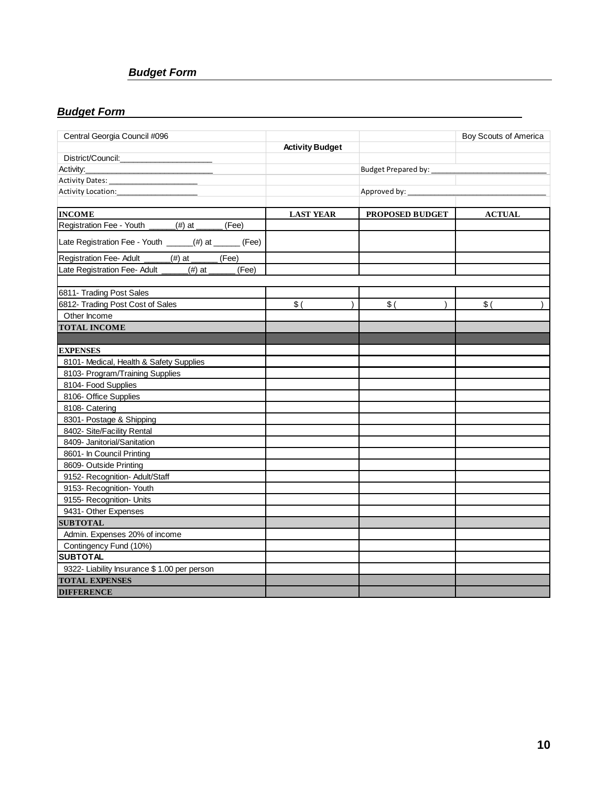## *Budget Form*

## *Budget Form*

| Central Georgia Council #096                           |                        |                     | Boy Scouts of America |
|--------------------------------------------------------|------------------------|---------------------|-----------------------|
|                                                        | <b>Activity Budget</b> |                     |                       |
| District/Council:                                      |                        |                     |                       |
|                                                        |                        | Budget Prepared by: |                       |
|                                                        |                        |                     |                       |
| Activity Location:                                     |                        | Approved by:        |                       |
|                                                        |                        |                     |                       |
| <b>INCOME</b>                                          | <b>LAST YEAR</b>       | PROPOSED BUDGET     | <b>ACTUAL</b>         |
| Registration Fee - Youth _____(#) at _____<br>(Fee)    |                        |                     |                       |
| Late Registration Fee - Youth _____(#) at ______ (Fee) |                        |                     |                       |
| Registration Fee- Adult<br>(Fee)<br>_(#) at __         |                        |                     |                       |
| Late Registration Fee- Adult _____(#) at _<br>(Fee)    |                        |                     |                       |
|                                                        |                        |                     |                       |
| 6811- Trading Post Sales                               |                        |                     |                       |
| 6812- Trading Post Cost of Sales                       | \$(                    | \$(                 | \$(                   |
| Other Income                                           |                        |                     |                       |
| <b>TOTAL INCOME</b>                                    |                        |                     |                       |
|                                                        |                        |                     |                       |
| <b>EXPENSES</b>                                        |                        |                     |                       |
| 8101- Medical, Health & Safety Supplies                |                        |                     |                       |
| 8103- Program/Training Supplies                        |                        |                     |                       |
| 8104- Food Supplies                                    |                        |                     |                       |
| 8106- Office Supplies                                  |                        |                     |                       |
| 8108- Catering                                         |                        |                     |                       |
| 8301- Postage & Shipping                               |                        |                     |                       |
| 8402- Site/Facility Rental                             |                        |                     |                       |
| 8409- Janitorial/Sanitation                            |                        |                     |                       |
| 8601- In Council Printing                              |                        |                     |                       |
| 8609- Outside Printing                                 |                        |                     |                       |
| 9152- Recognition- Adult/Staff                         |                        |                     |                       |
| 9153- Recognition- Youth                               |                        |                     |                       |
| 9155- Recognition- Units                               |                        |                     |                       |
| 9431- Other Expenses                                   |                        |                     |                       |
| <b>SUBTOTAL</b>                                        |                        |                     |                       |
| Admin. Expenses 20% of income                          |                        |                     |                       |
| Contingency Fund (10%)                                 |                        |                     |                       |
| <b>SUBTOTAL</b>                                        |                        |                     |                       |
| 9322- Liability Insurance \$1.00 per person            |                        |                     |                       |
| <b>TOTAL EXPENSES</b>                                  |                        |                     |                       |
| <b>DIFFERENCE</b>                                      |                        |                     |                       |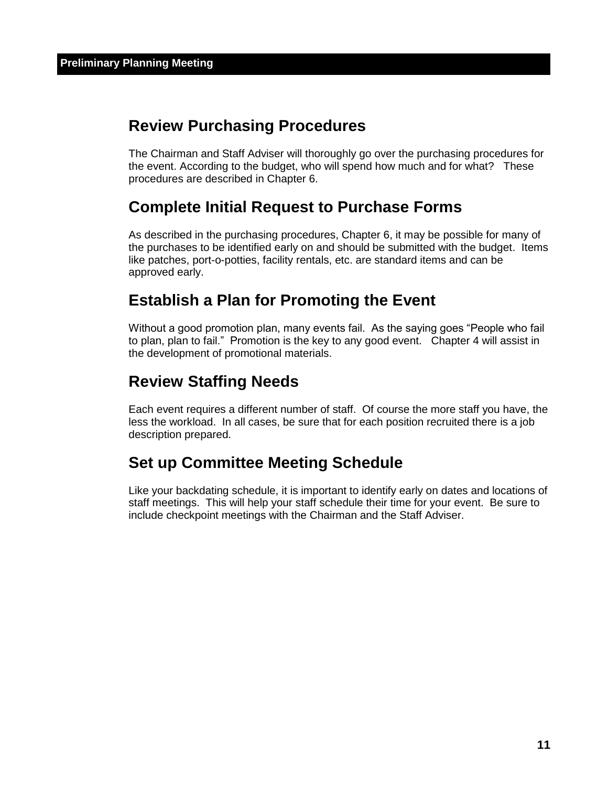## **Review Purchasing Procedures**

The Chairman and Staff Adviser will thoroughly go over the purchasing procedures for the event. According to the budget, who will spend how much and for what? These procedures are described in Chapter 6.

## **Complete Initial Request to Purchase Forms**

As described in the purchasing procedures, Chapter 6, it may be possible for many of the purchases to be identified early on and should be submitted with the budget. Items like patches, port-o-potties, facility rentals, etc. are standard items and can be approved early.

## **Establish a Plan for Promoting the Event**

Without a good promotion plan, many events fail. As the saying goes "People who fail to plan, plan to fail." Promotion is the key to any good event. Chapter 4 will assist in the development of promotional materials.

## **Review Staffing Needs**

Each event requires a different number of staff. Of course the more staff you have, the less the workload. In all cases, be sure that for each position recruited there is a job description prepared.

## **Set up Committee Meeting Schedule**

Like your backdating schedule, it is important to identify early on dates and locations of staff meetings. This will help your staff schedule their time for your event. Be sure to include checkpoint meetings with the Chairman and the Staff Adviser.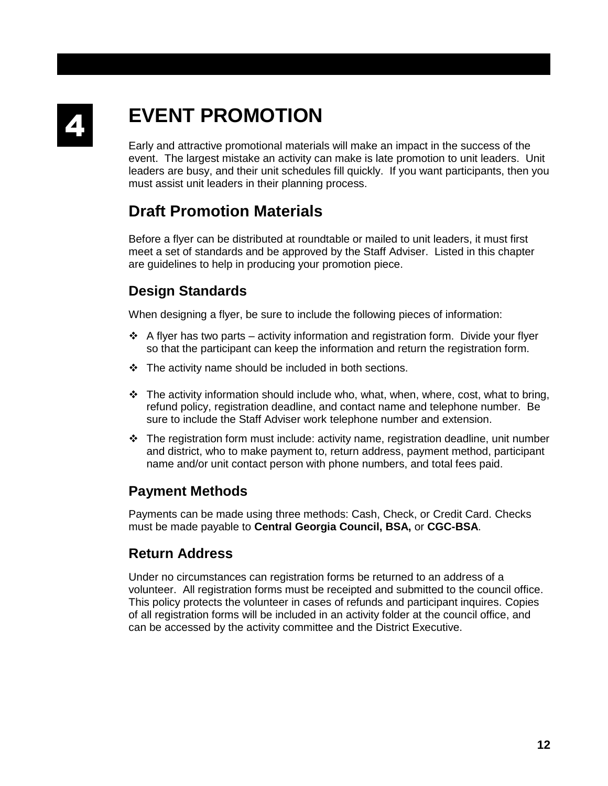

# **EVENT PROMOTION**

Early and attractive promotional materials will make an impact in the success of the event. The largest mistake an activity can make is late promotion to unit leaders. Unit leaders are busy, and their unit schedules fill quickly. If you want participants, then you must assist unit leaders in their planning process.

## **Draft Promotion Materials**

Before a flyer can be distributed at roundtable or mailed to unit leaders, it must first meet a set of standards and be approved by the Staff Adviser. Listed in this chapter are guidelines to help in producing your promotion piece.

## **Design Standards**

When designing a flyer, be sure to include the following pieces of information:

- $\div$  A flyer has two parts activity information and registration form. Divide your flyer so that the participant can keep the information and return the registration form.
- ❖ The activity name should be included in both sections.
- $\div$  The activity information should include who, what, when, where, cost, what to bring, refund policy, registration deadline, and contact name and telephone number. Be sure to include the Staff Adviser work telephone number and extension.
- $\div$  The registration form must include: activity name, registration deadline, unit number and district, who to make payment to, return address, payment method, participant name and/or unit contact person with phone numbers, and total fees paid.

## **Payment Methods**

Payments can be made using three methods: Cash, Check, or Credit Card. Checks must be made payable to **Central Georgia Council, BSA,** or **CGC-BSA**.

## **Return Address**

Under no circumstances can registration forms be returned to an address of a volunteer. All registration forms must be receipted and submitted to the council office. This policy protects the volunteer in cases of refunds and participant inquires. Copies of all registration forms will be included in an activity folder at the council office, and can be accessed by the activity committee and the District Executive.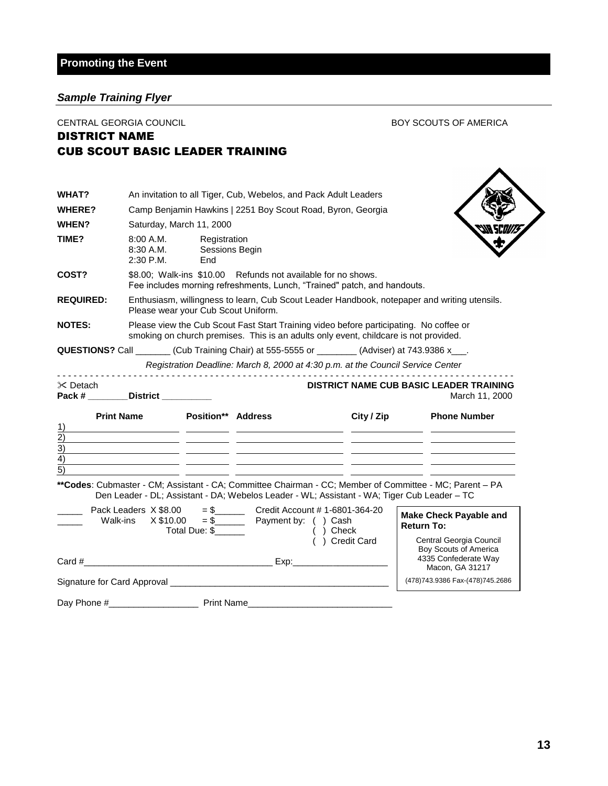## *Sample Training Flyer*

| CENTRAL GEORGIA COUNCIL<br><b>DISTRICT NAME</b>             |                                                                                                                                                                                |                                       |                                                                                                                                          |                              |                                                    |                   | <b>BOY SCOUTS OF AMERICA</b>                                                                                                                                                               |
|-------------------------------------------------------------|--------------------------------------------------------------------------------------------------------------------------------------------------------------------------------|---------------------------------------|------------------------------------------------------------------------------------------------------------------------------------------|------------------------------|----------------------------------------------------|-------------------|--------------------------------------------------------------------------------------------------------------------------------------------------------------------------------------------|
|                                                             | <b>CUB SCOUT BASIC LEADER TRAINING</b>                                                                                                                                         |                                       |                                                                                                                                          |                              |                                                    |                   |                                                                                                                                                                                            |
|                                                             |                                                                                                                                                                                |                                       |                                                                                                                                          |                              |                                                    |                   |                                                                                                                                                                                            |
| <b>WHAT?</b>                                                |                                                                                                                                                                                |                                       | An invitation to all Tiger, Cub, Webelos, and Pack Adult Leaders                                                                         |                              |                                                    |                   |                                                                                                                                                                                            |
| WHERE?                                                      |                                                                                                                                                                                |                                       | Camp Benjamin Hawkins   2251 Boy Scout Road, Byron, Georgia                                                                              |                              |                                                    |                   |                                                                                                                                                                                            |
| <b>WHEN?</b>                                                |                                                                                                                                                                                | Saturday, March 11, 2000              |                                                                                                                                          |                              |                                                    |                   |                                                                                                                                                                                            |
| <b>TIME?</b>                                                | 8:00 A.M.<br>8:30 A.M.<br>2:30 P.M.                                                                                                                                            | Registration<br>Sessions Begin<br>End |                                                                                                                                          |                              |                                                    |                   |                                                                                                                                                                                            |
| COST?                                                       |                                                                                                                                                                                |                                       | \$8.00; Walk-ins \$10.00 Refunds not available for no shows.<br>Fee includes morning refreshments, Lunch, "Trained" patch, and handouts. |                              |                                                    |                   |                                                                                                                                                                                            |
| <b>REQUIRED:</b>                                            |                                                                                                                                                                                | Please wear your Cub Scout Uniform.   |                                                                                                                                          |                              |                                                    |                   | Enthusiasm, willingness to learn, Cub Scout Leader Handbook, notepaper and writing utensils.                                                                                               |
| <b>NOTES:</b>                                               | Please view the Cub Scout Fast Start Training video before participating. No coffee or<br>smoking on church premises. This is an adults only event, childcare is not provided. |                                       |                                                                                                                                          |                              |                                                    |                   |                                                                                                                                                                                            |
|                                                             | QUESTIONS? Call ________(Cub Training Chair) at 555-5555 or ________(Adviser) at 743.9386 x___.                                                                                |                                       | Registration Deadline: March 8, 2000 at 4:30 p.m. at the Council Service Center                                                          |                              |                                                    |                   |                                                                                                                                                                                            |
| <sup>i</sup> Detach                                         | Pack # __________ District __________                                                                                                                                          |                                       |                                                                                                                                          |                              |                                                    |                   | <b>DISTRICT NAME CUB BASIC LEADER TRAINING</b><br>March 11, 2000                                                                                                                           |
| 1)<br>$\overline{2)}$<br>$\overline{3)}$<br>$\overline{4)}$ | <b>Print Name</b>                                                                                                                                                              | <b>Position** Address</b>             |                                                                                                                                          |                              | City / Zip<br><u> 1989 - John Stone Barnett, s</u> |                   | <b>Phone Number</b><br><u> 1990 - Jan James James James James James James James James James James James James James James James James J</u><br><u> 1999 - Jan James, politik (f. 1989)</u> |
| $\overline{5)}$                                             |                                                                                                                                                                                |                                       |                                                                                                                                          |                              |                                                    |                   |                                                                                                                                                                                            |
|                                                             | Den Leader - DL; Assistant - DA; Webelos Leader - WL; Assistant - WA; Tiger Cub Leader - TC                                                                                    |                                       |                                                                                                                                          |                              |                                                    |                   | **Codes: Cubmaster - CM; Assistant - CA; Committee Chairman - CC; Member of Committee - MC; Parent - PA                                                                                    |
|                                                             | Pack Leaders X \$8.00<br>Walk-ins<br>X \$10.00                                                                                                                                 | Total Due: \$                         | $=$ \$ Credit Account # 1-6801-364-20                                                                                                    | ( ) Check<br>( ) Credit Card |                                                    | <b>Return To:</b> | <b>Make Check Payable and</b><br>Central Georgia Council<br>Boy Scouts of America                                                                                                          |
| Card #                                                      |                                                                                                                                                                                |                                       |                                                                                                                                          |                              |                                                    |                   | 4335 Confederate Way<br>Macon, GA 31217                                                                                                                                                    |
|                                                             |                                                                                                                                                                                |                                       |                                                                                                                                          |                              |                                                    |                   | (478)743.9386 Fax-(478)745.2686                                                                                                                                                            |
|                                                             |                                                                                                                                                                                |                                       |                                                                                                                                          |                              |                                                    |                   |                                                                                                                                                                                            |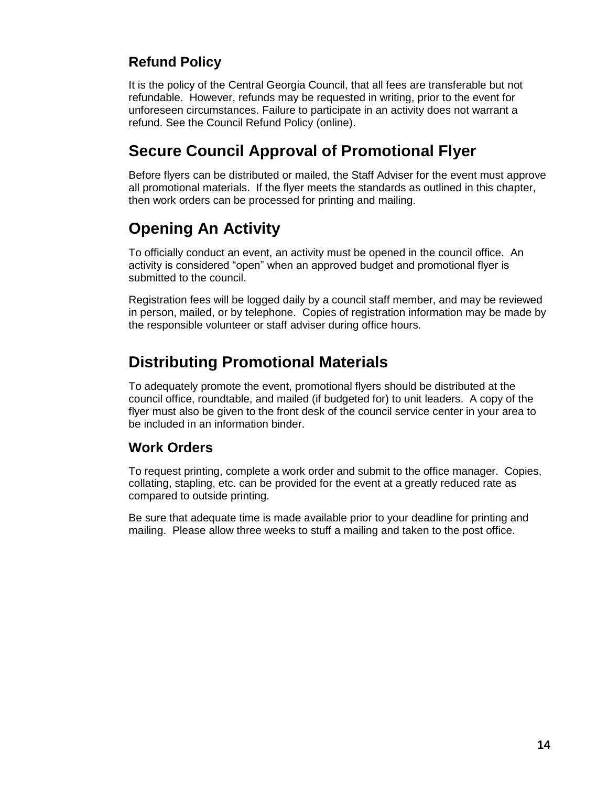## **Refund Policy**

It is the policy of the Central Georgia Council, that all fees are transferable but not refundable. However, refunds may be requested in writing, prior to the event for unforeseen circumstances. Failure to participate in an activity does not warrant a refund. See the Council Refund Policy (online).

## **Secure Council Approval of Promotional Flyer**

Before flyers can be distributed or mailed, the Staff Adviser for the event must approve all promotional materials. If the flyer meets the standards as outlined in this chapter, then work orders can be processed for printing and mailing.

## **Opening An Activity**

To officially conduct an event, an activity must be opened in the council office. An activity is considered "open" when an approved budget and promotional flyer is submitted to the council.

Registration fees will be logged daily by a council staff member, and may be reviewed in person, mailed, or by telephone. Copies of registration information may be made by the responsible volunteer or staff adviser during office hours.

## **Distributing Promotional Materials**

To adequately promote the event, promotional flyers should be distributed at the council office, roundtable, and mailed (if budgeted for) to unit leaders. A copy of the flyer must also be given to the front desk of the council service center in your area to be included in an information binder.

## **Work Orders**

To request printing, complete a work order and submit to the office manager. Copies, collating, stapling, etc. can be provided for the event at a greatly reduced rate as compared to outside printing.

Be sure that adequate time is made available prior to your deadline for printing and mailing. Please allow three weeks to stuff a mailing and taken to the post office.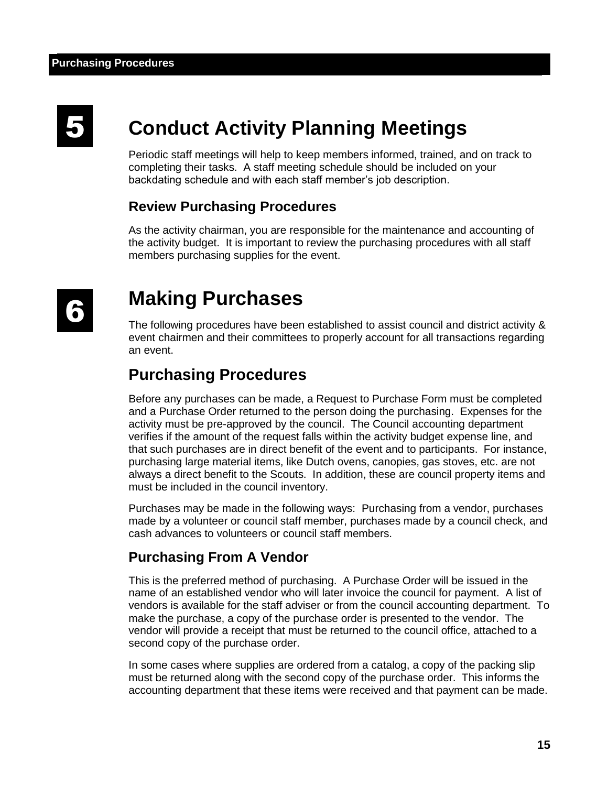# 5

# **Conduct Activity Planning Meetings**

Periodic staff meetings will help to keep members informed, trained, and on track to completing their tasks. A staff meeting schedule should be included on your backdating schedule and with each staff member's job description.

## **Review Purchasing Procedures**

As the activity chairman, you are responsible for the maintenance and accounting of the activity budget. It is important to review the purchasing procedures with all staff members purchasing supplies for the event.

## **Making Purchases**

The following procedures have been established to assist council and district activity & event chairmen and their committees to properly account for all transactions regarding an event.

## **Purchasing Procedures**

Before any purchases can be made, a Request to Purchase Form must be completed and a Purchase Order returned to the person doing the purchasing. Expenses for the activity must be pre-approved by the council. The Council accounting department verifies if the amount of the request falls within the activity budget expense line, and that such purchases are in direct benefit of the event and to participants. For instance, purchasing large material items, like Dutch ovens, canopies, gas stoves, etc. are not always a direct benefit to the Scouts. In addition, these are council property items and must be included in the council inventory.

Purchases may be made in the following ways: Purchasing from a vendor, purchases made by a volunteer or council staff member, purchases made by a council check, and cash advances to volunteers or council staff members.

## **Purchasing From A Vendor**

This is the preferred method of purchasing. A Purchase Order will be issued in the name of an established vendor who will later invoice the council for payment. A list of vendors is available for the staff adviser or from the council accounting department. To make the purchase, a copy of the purchase order is presented to the vendor. The vendor will provide a receipt that must be returned to the council office, attached to a second copy of the purchase order.

In some cases where supplies are ordered from a catalog, a copy of the packing slip must be returned along with the second copy of the purchase order. This informs the accounting department that these items were received and that payment can be made.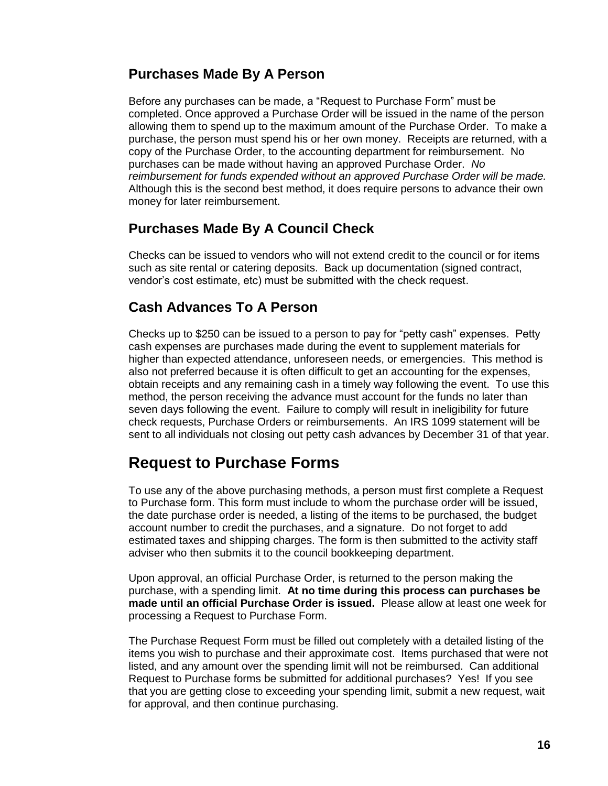## **Purchases Made By A Person**

Before any purchases can be made, a "Request to Purchase Form" must be completed. Once approved a Purchase Order will be issued in the name of the person allowing them to spend up to the maximum amount of the Purchase Order. To make a purchase, the person must spend his or her own money. Receipts are returned, with a copy of the Purchase Order, to the accounting department for reimbursement. No purchases can be made without having an approved Purchase Order. *No reimbursement for funds expended without an approved Purchase Order will be made.* Although this is the second best method, it does require persons to advance their own money for later reimbursement.

## **Purchases Made By A Council Check**

Checks can be issued to vendors who will not extend credit to the council or for items such as site rental or catering deposits. Back up documentation (signed contract, vendor's cost estimate, etc) must be submitted with the check request.

## **Cash Advances To A Person**

Checks up to \$250 can be issued to a person to pay for "petty cash" expenses. Petty cash expenses are purchases made during the event to supplement materials for higher than expected attendance, unforeseen needs, or emergencies. This method is also not preferred because it is often difficult to get an accounting for the expenses, obtain receipts and any remaining cash in a timely way following the event. To use this method, the person receiving the advance must account for the funds no later than seven days following the event. Failure to comply will result in ineligibility for future check requests, Purchase Orders or reimbursements. An IRS 1099 statement will be sent to all individuals not closing out petty cash advances by December 31 of that year.

## **Request to Purchase Forms**

To use any of the above purchasing methods, a person must first complete a Request to Purchase form. This form must include to whom the purchase order will be issued, the date purchase order is needed, a listing of the items to be purchased, the budget account number to credit the purchases, and a signature. Do not forget to add estimated taxes and shipping charges. The form is then submitted to the activity staff adviser who then submits it to the council bookkeeping department.

Upon approval, an official Purchase Order, is returned to the person making the purchase, with a spending limit. **At no time during this process can purchases be made until an official Purchase Order is issued.** Please allow at least one week for processing a Request to Purchase Form.

The Purchase Request Form must be filled out completely with a detailed listing of the items you wish to purchase and their approximate cost. Items purchased that were not listed, and any amount over the spending limit will not be reimbursed. Can additional Request to Purchase forms be submitted for additional purchases? Yes! If you see that you are getting close to exceeding your spending limit, submit a new request, wait for approval, and then continue purchasing.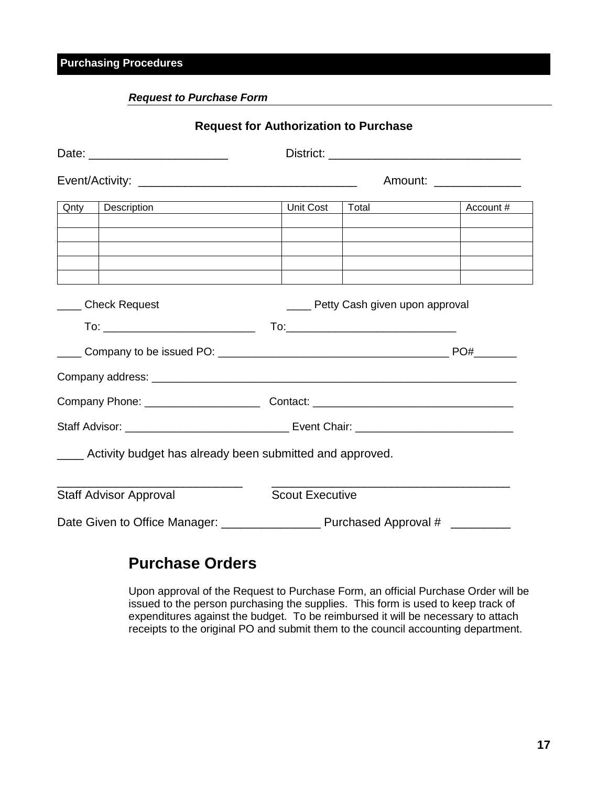## **Purchasing Procedures**

### *Request to Purchase Form*

|      |                                                               | <b>Request for Authorization to Purchase</b> |                                     |           |  |
|------|---------------------------------------------------------------|----------------------------------------------|-------------------------------------|-----------|--|
|      | Date: ____________________________                            |                                              |                                     |           |  |
|      |                                                               |                                              | Amount: ______________              |           |  |
| Qnty | Description                                                   | Unit Cost                                    | Total                               | Account # |  |
|      |                                                               |                                              |                                     |           |  |
|      |                                                               |                                              |                                     |           |  |
|      | _____ Check Request                                           |                                              | ____ Petty Cash given upon approval |           |  |
|      |                                                               |                                              |                                     |           |  |
|      |                                                               |                                              |                                     |           |  |
|      |                                                               |                                              |                                     |           |  |
|      |                                                               |                                              |                                     |           |  |
|      |                                                               |                                              |                                     |           |  |
|      | ____ Activity budget has already been submitted and approved. |                                              |                                     |           |  |
|      | <b>Staff Advisor Approval</b>                                 | <b>Scout Executive</b>                       |                                     |           |  |
|      |                                                               |                                              |                                     |           |  |

## **Purchase Orders**

Upon approval of the Request to Purchase Form, an official Purchase Order will be issued to the person purchasing the supplies. This form is used to keep track of expenditures against the budget. To be reimbursed it will be necessary to attach receipts to the original PO and submit them to the council accounting department.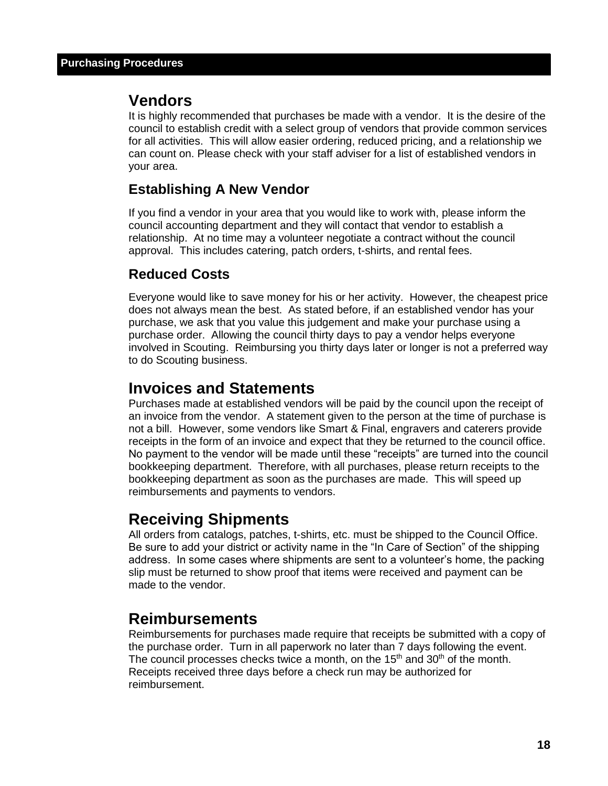## **Vendors**

It is highly recommended that purchases be made with a vendor. It is the desire of the council to establish credit with a select group of vendors that provide common services for all activities. This will allow easier ordering, reduced pricing, and a relationship we can count on. Please check with your staff adviser for a list of established vendors in your area.

## **Establishing A New Vendor**

If you find a vendor in your area that you would like to work with, please inform the council accounting department and they will contact that vendor to establish a relationship. At no time may a volunteer negotiate a contract without the council approval. This includes catering, patch orders, t-shirts, and rental fees.

## **Reduced Costs**

Everyone would like to save money for his or her activity. However, the cheapest price does not always mean the best. As stated before, if an established vendor has your purchase, we ask that you value this judgement and make your purchase using a purchase order. Allowing the council thirty days to pay a vendor helps everyone involved in Scouting. Reimbursing you thirty days later or longer is not a preferred way to do Scouting business.

## **Invoices and Statements**

Purchases made at established vendors will be paid by the council upon the receipt of an invoice from the vendor. A statement given to the person at the time of purchase is not a bill. However, some vendors like Smart & Final, engravers and caterers provide receipts in the form of an invoice and expect that they be returned to the council office. No payment to the vendor will be made until these "receipts" are turned into the council bookkeeping department. Therefore, with all purchases, please return receipts to the bookkeeping department as soon as the purchases are made. This will speed up reimbursements and payments to vendors.

## **Receiving Shipments**

All orders from catalogs, patches, t-shirts, etc. must be shipped to the Council Office. Be sure to add your district or activity name in the "In Care of Section" of the shipping address. In some cases where shipments are sent to a volunteer's home, the packing slip must be returned to show proof that items were received and payment can be made to the vendor.

## **Reimbursements**

Reimbursements for purchases made require that receipts be submitted with a copy of the purchase order. Turn in all paperwork no later than 7 days following the event. The council processes checks twice a month, on the  $15<sup>th</sup>$  and  $30<sup>th</sup>$  of the month. Receipts received three days before a check run may be authorized for reimbursement.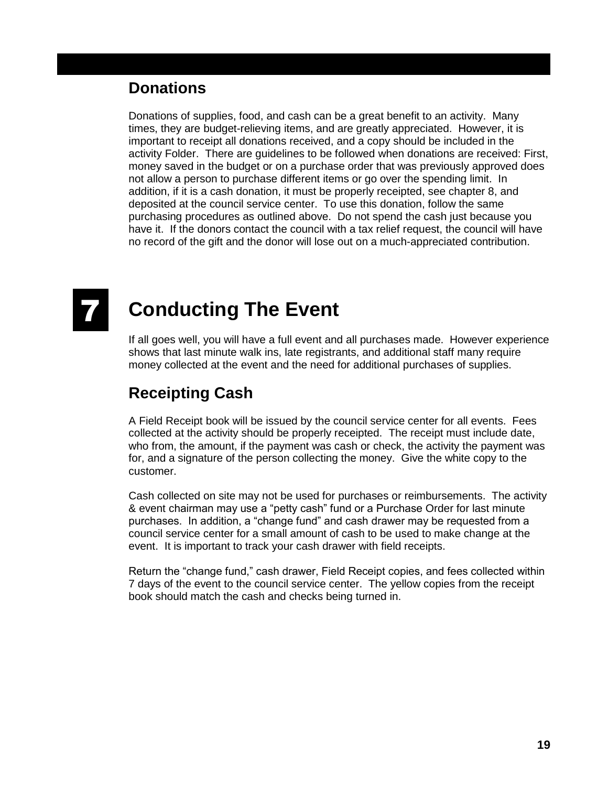## **Donations**

Donations of supplies, food, and cash can be a great benefit to an activity. Many times, they are budget-relieving items, and are greatly appreciated. However, it is important to receipt all donations received, and a copy should be included in the activity Folder. There are guidelines to be followed when donations are received: First, money saved in the budget or on a purchase order that was previously approved does not allow a person to purchase different items or go over the spending limit. In addition, if it is a cash donation, it must be properly receipted, see chapter 8, and deposited at the council service center. To use this donation, follow the same purchasing procedures as outlined above. Do not spend the cash just because you have it. If the donors contact the council with a tax relief request, the council will have no record of the gift and the donor will lose out on a much-appreciated contribution.

# **Conducting The Event**

If all goes well, you will have a full event and all purchases made. However experience shows that last minute walk ins, late registrants, and additional staff many require money collected at the event and the need for additional purchases of supplies.

## **Receipting Cash**

A Field Receipt book will be issued by the council service center for all events. Fees collected at the activity should be properly receipted. The receipt must include date, who from, the amount, if the payment was cash or check, the activity the payment was for, and a signature of the person collecting the money. Give the white copy to the customer.

Cash collected on site may not be used for purchases or reimbursements. The activity & event chairman may use a "petty cash" fund or a Purchase Order for last minute purchases. In addition, a "change fund" and cash drawer may be requested from a council service center for a small amount of cash to be used to make change at the event. It is important to track your cash drawer with field receipts.

Return the "change fund," cash drawer, Field Receipt copies, and fees collected within 7 days of the event to the council service center. The yellow copies from the receipt book should match the cash and checks being turned in.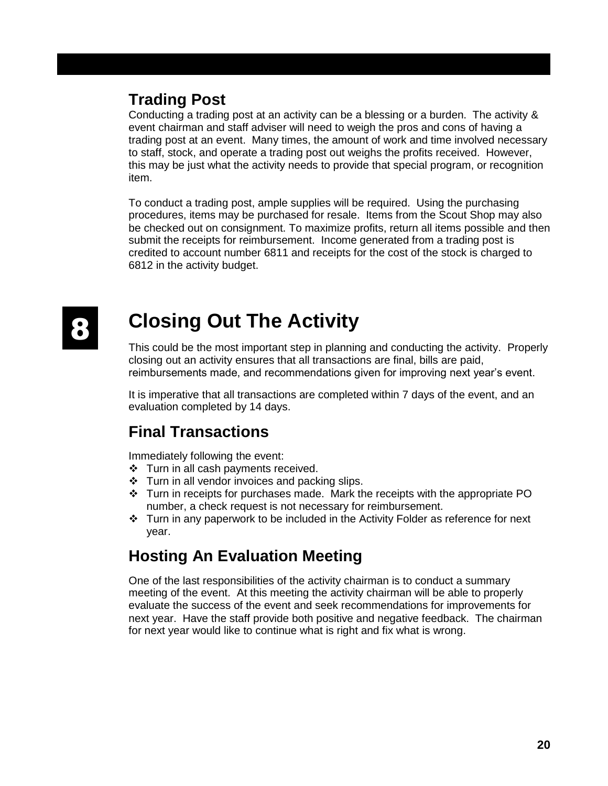## **Trading Post**

Conducting a trading post at an activity can be a blessing or a burden. The activity & event chairman and staff adviser will need to weigh the pros and cons of having a trading post at an event. Many times, the amount of work and time involved necessary to staff, stock, and operate a trading post out weighs the profits received. However, this may be just what the activity needs to provide that special program, or recognition item.

To conduct a trading post, ample supplies will be required. Using the purchasing procedures, items may be purchased for resale. Items from the Scout Shop may also be checked out on consignment. To maximize profits, return all items possible and then submit the receipts for reimbursement. Income generated from a trading post is credited to account number 6811 and receipts for the cost of the stock is charged to 6812 in the activity budget.

# 8

# **Closing Out The Activity**

This could be the most important step in planning and conducting the activity. Properly closing out an activity ensures that all transactions are final, bills are paid, reimbursements made, and recommendations given for improving next year's event.

It is imperative that all transactions are completed within 7 days of the event, and an evaluation completed by 14 days.

## **Final Transactions**

Immediately following the event:

- ❖ Turn in all cash payments received.
- $\div$  Turn in all vendor invoices and packing slips.
- $\div$  Turn in receipts for purchases made. Mark the receipts with the appropriate PO number, a check request is not necessary for reimbursement.
- ❖ Turn in any paperwork to be included in the Activity Folder as reference for next year.

## **Hosting An Evaluation Meeting**

One of the last responsibilities of the activity chairman is to conduct a summary meeting of the event. At this meeting the activity chairman will be able to properly evaluate the success of the event and seek recommendations for improvements for next year. Have the staff provide both positive and negative feedback. The chairman for next year would like to continue what is right and fix what is wrong.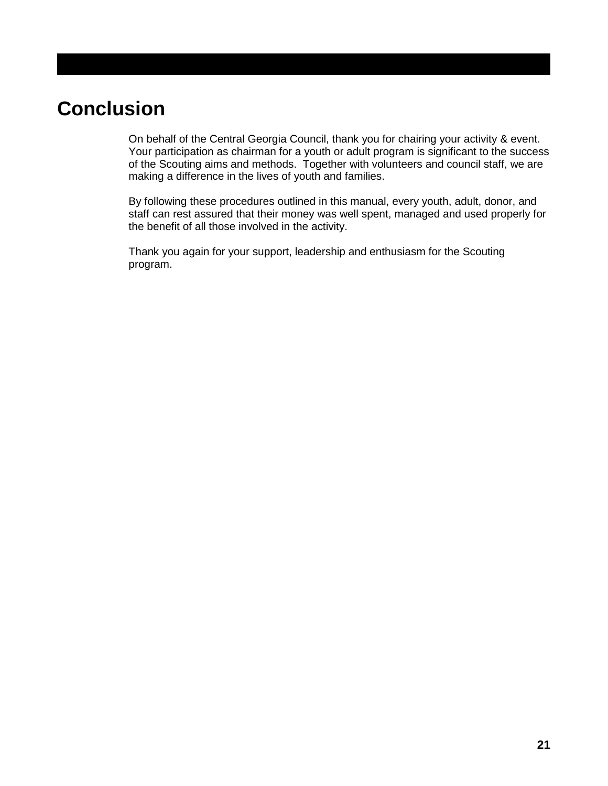# **Conclusion**

On behalf of the Central Georgia Council, thank you for chairing your activity & event. Your participation as chairman for a youth or adult program is significant to the success of the Scouting aims and methods. Together with volunteers and council staff, we are making a difference in the lives of youth and families.

By following these procedures outlined in this manual, every youth, adult, donor, and staff can rest assured that their money was well spent, managed and used properly for the benefit of all those involved in the activity.

Thank you again for your support, leadership and enthusiasm for the Scouting program.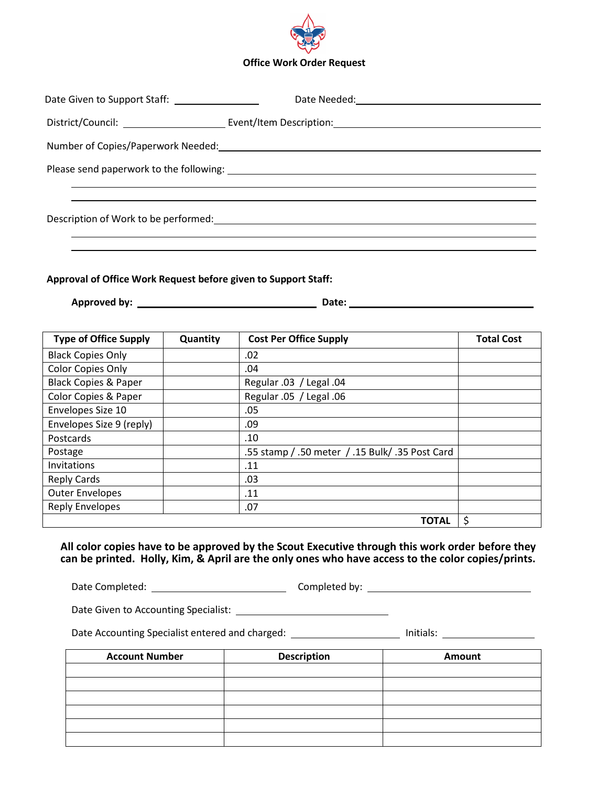

| Date Given to Support Staff: ___________________ |  |
|--------------------------------------------------|--|
|                                                  |  |
|                                                  |  |
|                                                  |  |
|                                                  |  |
|                                                  |  |

**Approval of Office Work Request before given to Support Staff:**

**Approved by: Date:** 

| <b>Type of Office Supply</b>    | Quantity | <b>Cost Per Office Supply</b>                   | <b>Total Cost</b> |
|---------------------------------|----------|-------------------------------------------------|-------------------|
| <b>Black Copies Only</b>        |          | .02                                             |                   |
| <b>Color Copies Only</b>        |          | .04                                             |                   |
| <b>Black Copies &amp; Paper</b> |          | Regular .03 / Legal .04                         |                   |
| Color Copies & Paper            |          | Regular .05 / Legal .06                         |                   |
| Envelopes Size 10               |          | .05                                             |                   |
| Envelopes Size 9 (reply)        |          | .09                                             |                   |
| Postcards                       |          | .10                                             |                   |
| Postage                         |          | .55 stamp / .50 meter / .15 Bulk/ .35 Post Card |                   |
| Invitations                     |          | .11                                             |                   |
| <b>Reply Cards</b>              |          | .03                                             |                   |
| <b>Outer Envelopes</b>          |          | .11                                             |                   |
| <b>Reply Envelopes</b>          |          | .07                                             |                   |
|                                 |          | <b>TOTAL</b>                                    | \$                |

**All color copies have to be approved by the Scout Executive through this work order before they can be printed. Holly, Kim, & April are the only ones who have access to the color copies/prints.**

Date Completed: Completed by:

Date Given to Accounting Specialist:

Date Accounting Specialist entered and charged: Initials:

**Account Number**  $\vert$  **Description**  $\vert$  **Amount**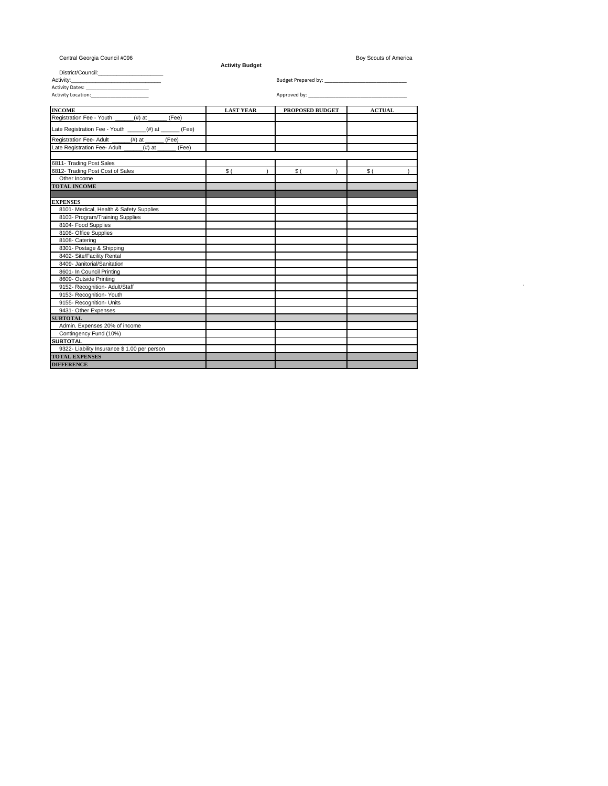| Central Georgia Council #096                                                                           | <b>Activity Budget</b> |                           | Boy Scouts of America |  |
|--------------------------------------------------------------------------------------------------------|------------------------|---------------------------|-----------------------|--|
|                                                                                                        |                        |                           |                       |  |
| Activity:<br>the control of the control of the control of the control of the control of the control of |                        |                           |                       |  |
| Activity Dates: Activity Dates:                                                                        |                        |                           |                       |  |
| Activity Location: Activity Location:                                                                  |                        | Approved by: Approved by: |                       |  |
| <b>INCOME</b><br>Registration Fee - Youth                                                              | <b>LAST YEAR</b>       | PROPOSED BUDGET           | <b>ACTUAL</b>         |  |
| $($ #) at<br>(Fee)                                                                                     |                        |                           |                       |  |
| Late Registration Fee - Youth ______(#) at ______ (Fee)                                                |                        |                           |                       |  |
| Registration Fee- Adult<br>(Fee)<br>$($ #) at                                                          |                        |                           |                       |  |
| Late Registration Fee- Adult<br>$(#)$ at<br>(Fee)                                                      |                        |                           |                       |  |
| 6811- Trading Post Sales                                                                               |                        |                           |                       |  |
| 6812- Trading Post Cost of Sales                                                                       | \$(                    | \$(                       | \$(                   |  |
| Other Income                                                                                           |                        |                           |                       |  |
| <b>TOTAL INCOME</b>                                                                                    |                        |                           |                       |  |
|                                                                                                        |                        |                           |                       |  |
| <b>EXPENSES</b>                                                                                        |                        |                           |                       |  |
| 8101- Medical, Health & Safety Supplies                                                                |                        |                           |                       |  |
| 8103- Program/Training Supplies                                                                        |                        |                           |                       |  |
| 8104- Food Supplies                                                                                    |                        |                           |                       |  |
| 8106- Office Supplies                                                                                  |                        |                           |                       |  |
| 8108- Catering                                                                                         |                        |                           |                       |  |
| 8301- Postage & Shipping                                                                               |                        |                           |                       |  |
| 8402- Site/Facility Rental                                                                             |                        |                           |                       |  |
| 8409- Janitorial/Sanitation                                                                            |                        |                           |                       |  |
| 8601- In Council Printing                                                                              |                        |                           |                       |  |
| 8609- Outside Printing                                                                                 |                        |                           |                       |  |
| 9152- Recognition- Adult/Staff                                                                         |                        |                           |                       |  |
| 9153- Recognition- Youth                                                                               |                        |                           |                       |  |
| 9155- Recognition- Units                                                                               |                        |                           |                       |  |
| 9431- Other Expenses                                                                                   |                        |                           |                       |  |
| <b>SUBTOTAL</b>                                                                                        |                        |                           |                       |  |
| Admin. Expenses 20% of income                                                                          |                        |                           |                       |  |
| Contingency Fund (10%)                                                                                 |                        |                           |                       |  |
| <b>SUBTOTAL</b>                                                                                        |                        |                           |                       |  |
| 9322- Liability Insurance \$1.00 per person                                                            |                        |                           |                       |  |
| <b>TOTAL EXPENSES</b>                                                                                  |                        |                           |                       |  |
| <b>DIFFERENCE</b>                                                                                      |                        |                           |                       |  |